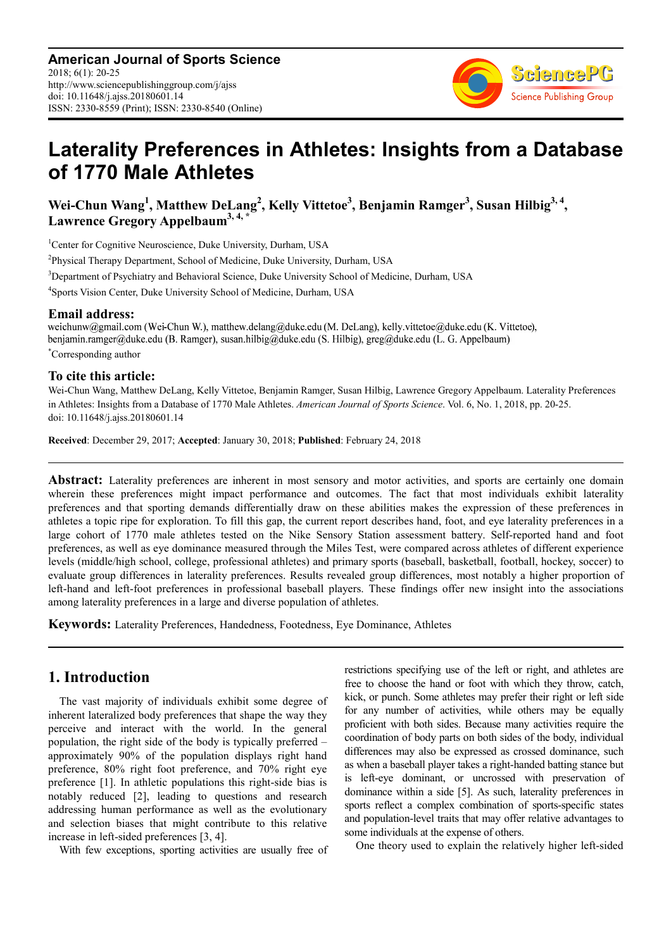

# **Laterality Preferences in Athletes: Insights from a Database of 1770 Male Athletes**

**Wei-Chun Wang<sup>1</sup> , Matthew DeLang<sup>2</sup> , Kelly Vittetoe<sup>3</sup> , Benjamin Ramger<sup>3</sup> , Susan Hilbig3, 4 , Lawrence Gregory Appelbaum3, 4, \***

<sup>1</sup>Center for Cognitive Neuroscience, Duke University, Durham, USA

<sup>2</sup>Physical Therapy Department, School of Medicine, Duke University, Durham, USA

<sup>3</sup>Department of Psychiatry and Behavioral Science, Duke University School of Medicine, Durham, USA

4 Sports Vision Center, Duke University School of Medicine, Durham, USA

**Email address:**<br>weichunw@gmail.com (Wei-Chun W.), matthew.delang@duke.edu (M. DeLang), kelly.vittetoe@duke.edu (K. Vittetoe), benjamin.ramger@duke.edu (B. Ramger), susan.hilbig@duke.edu (S. Hilbig), greg@duke.edu (L. G. Appelbaum) \*Corresponding author

#### **To cite this article:**

Wei-Chun Wang, Matthew DeLang, Kelly Vittetoe, Benjamin Ramger, Susan Hilbig, Lawrence Gregory Appelbaum. Laterality Preferences in Athletes: Insights from a Database of 1770 Male Athletes. *American Journal of Sports Science*. Vol. 6, No. 1, 2018, pp. 20-25. doi: 10.11648/j.ajss.20180601.14

**Received**: December 29, 2017; **Accepted**: January 30, 2018; **Published**: February 24, 2018

**Abstract:** Laterality preferences are inherent in most sensory and motor activities, and sports are certainly one domain wherein these preferences might impact performance and outcomes. The fact that most individuals exhibit laterality preferences and that sporting demands differentially draw on these abilities makes the expression of these preferences in athletes a topic ripe for exploration. To fill this gap, the current report describes hand, foot, and eye laterality preferences in a large cohort of 1770 male athletes tested on the Nike Sensory Station assessment battery. Self-reported hand and foot preferences, as well as eye dominance measured through the Miles Test, were compared across athletes of different experience levels (middle/high school, college, professional athletes) and primary sports (baseball, basketball, football, hockey, soccer) to evaluate group differences in laterality preferences. Results revealed group differences, most notably a higher proportion of left-hand and left-foot preferences in professional baseball players. These findings offer new insight into the associations among laterality preferences in a large and diverse population of athletes.

**Keywords:** Laterality Preferences, Handedness, Footedness, Eye Dominance, Athletes

# **1. Introduction**

The vast majority of individuals exhibit some degree of inherent lateralized body preferences that shape the way they perceive and interact with the world. In the general population, the right side of the body is typically preferred – approximately 90% of the population displays right hand preference, 80% right foot preference, and 70% right eye preference [1]. In athletic populations this right-side bias is notably reduced [2], leading to questions and research addressing human performance as well as the evolutionary and selection biases that might contribute to this relative increase in left-sided preferences [3, 4].

With few exceptions, sporting activities are usually free of

restrictions specifying use of the left or right, and athletes are free to choose the hand or foot with which they throw, catch, kick, or punch. Some athletes may prefer their right or left side for any number of activities, while others may be equally proficient with both sides. Because many activities require the coordination of body parts on both sides of the body, individual differences may also be expressed as crossed dominance, such as when a baseball player takes a right-handed batting stance but is left-eye dominant, or uncrossed with preservation of dominance within a side [5]. As such, laterality preferences in sports reflect a complex combination of sports-specific states and population-level traits that may offer relative advantages to some individuals at the expense of others.

One theory used to explain the relatively higher left-sided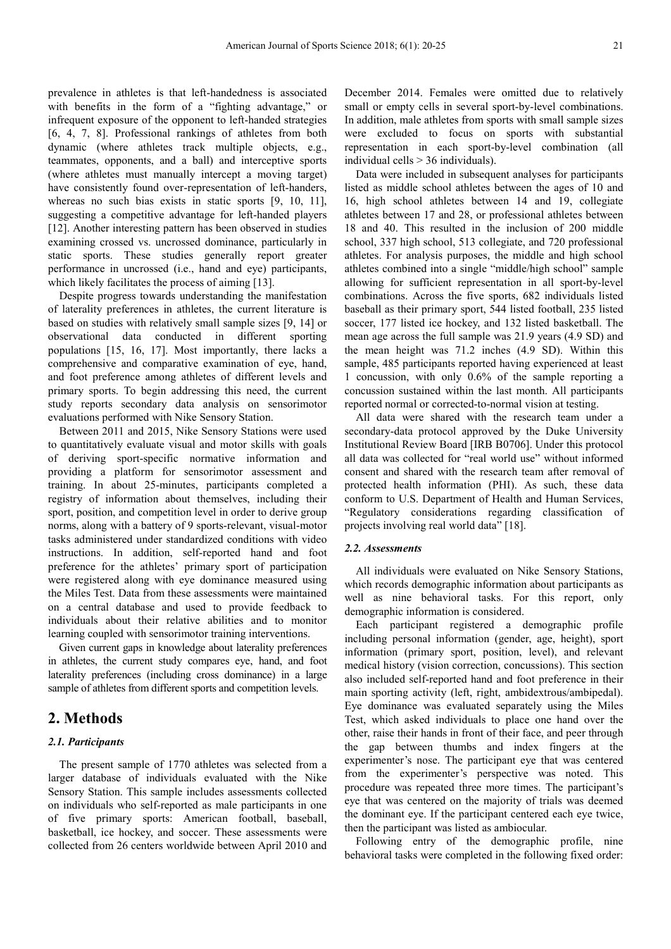prevalence in athletes is that left-handedness is associated with benefits in the form of a "fighting advantage," or infrequent exposure of the opponent to left-handed strategies [6, 4, 7, 8]. Professional rankings of athletes from both dynamic (where athletes track multiple objects, e.g., teammates, opponents, and a ball) and interceptive sports (where athletes must manually intercept a moving target) have consistently found over-representation of left-handers, whereas no such bias exists in static sports [9, 10, 11], suggesting a competitive advantage for left-handed players [12]. Another interesting pattern has been observed in studies examining crossed vs. uncrossed dominance, particularly in static sports. These studies generally report greater performance in uncrossed (i.e., hand and eye) participants, which likely facilitates the process of aiming [13].

Despite progress towards understanding the manifestation of laterality preferences in athletes, the current literature is based on studies with relatively small sample sizes [9, 14] or observational data conducted in different sporting populations [15, 16, 17]. Most importantly, there lacks a comprehensive and comparative examination of eye, hand, and foot preference among athletes of different levels and primary sports. To begin addressing this need, the current study reports secondary data analysis on sensorimotor evaluations performed with Nike Sensory Station.

Between 2011 and 2015, Nike Sensory Stations were used to quantitatively evaluate visual and motor skills with goals of deriving sport-specific normative information and providing a platform for sensorimotor assessment and training. In about 25-minutes, participants completed a registry of information about themselves, including their sport, position, and competition level in order to derive group norms, along with a battery of 9 sports-relevant, visual-motor tasks administered under standardized conditions with video instructions. In addition, self-reported hand and foot preference for the athletes' primary sport of participation were registered along with eye dominance measured using the Miles Test. Data from these assessments were maintained on a central database and used to provide feedback to individuals about their relative abilities and to monitor learning coupled with sensorimotor training interventions.

Given current gaps in knowledge about laterality preferences in athletes, the current study compares eye, hand, and foot laterality preferences (including cross dominance) in a large sample of athletes from different sports and competition levels.

# **2. Methods**

#### *2.1. Participants*

The present sample of 1770 athletes was selected from a larger database of individuals evaluated with the Nike Sensory Station. This sample includes assessments collected on individuals who self-reported as male participants in one of five primary sports: American football, baseball, basketball, ice hockey, and soccer. These assessments were collected from 26 centers worldwide between April 2010 and December 2014. Females were omitted due to relatively small or empty cells in several sport-by-level combinations. In addition, male athletes from sports with small sample sizes were excluded to focus on sports with substantial representation in each sport-by-level combination (all individual cells > 36 individuals).

Data were included in subsequent analyses for participants listed as middle school athletes between the ages of 10 and 16, high school athletes between 14 and 19, collegiate athletes between 17 and 28, or professional athletes between 18 and 40. This resulted in the inclusion of 200 middle school, 337 high school, 513 collegiate, and 720 professional athletes. For analysis purposes, the middle and high school athletes combined into a single "middle/high school" sample allowing for sufficient representation in all sport-by-level combinations. Across the five sports, 682 individuals listed baseball as their primary sport, 544 listed football, 235 listed soccer, 177 listed ice hockey, and 132 listed basketball. The mean age across the full sample was 21.9 years (4.9 SD) and the mean height was 71.2 inches (4.9 SD). Within this sample, 485 participants reported having experienced at least 1 concussion, with only 0.6% of the sample reporting a concussion sustained within the last month. All participants reported normal or corrected-to-normal vision at testing.

All data were shared with the research team under a secondary-data protocol approved by the Duke University Institutional Review Board [IRB B0706]. Under this protocol all data was collected for "real world use" without informed consent and shared with the research team after removal of protected health information (PHI). As such, these data conform to U.S. Department of Health and Human Services, "Regulatory considerations regarding classification of projects involving real world data" [18].

#### *2.2. Assessments*

All individuals were evaluated on Nike Sensory Stations, which records demographic information about participants as well as nine behavioral tasks. For this report, only demographic information is considered.

Each participant registered a demographic profile including personal information (gender, age, height), sport information (primary sport, position, level), and relevant medical history (vision correction, concussions). This section also included self-reported hand and foot preference in their main sporting activity (left, right, ambidextrous/ambipedal). Eye dominance was evaluated separately using the Miles Test, which asked individuals to place one hand over the other, raise their hands in front of their face, and peer through the gap between thumbs and index fingers at the experimenter's nose. The participant eye that was centered from the experimenter's perspective was noted. This procedure was repeated three more times. The participant's eye that was centered on the majority of trials was deemed the dominant eye. If the participant centered each eye twice, then the participant was listed as ambiocular.

Following entry of the demographic profile, nine behavioral tasks were completed in the following fixed order: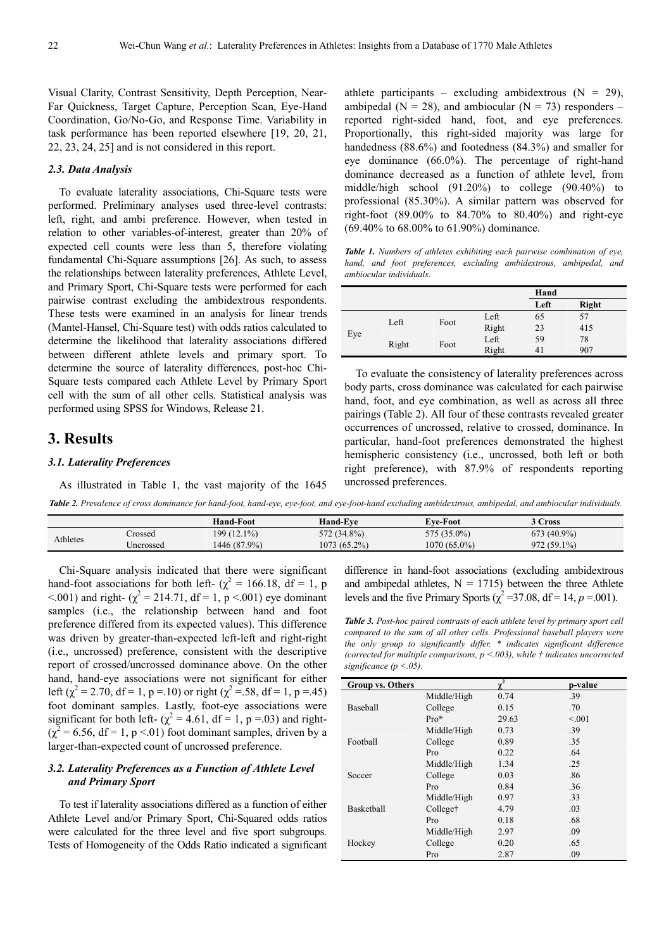Visual Clarity, Contrast Sensitivity, Depth Perception, Near-Far Quickness, Target Capture, Perception Scan, Eye-Hand Coordination, Go/No-Go, and Response Time. Variability in task performance has been reported elsewhere [19, 20, 21, 22, 23, 24, 25] and is not considered in this report.

#### *2.3. Data Analysis*

To evaluate laterality associations, Chi-Square tests were performed. Preliminary analyses used three-level contrasts: left, right, and ambi preference. However, when tested in relation to other variables-of-interest, greater than 20% of expected cell counts were less than 5, therefore violating fundamental Chi-Square assumptions [26]. As such, to assess the relationships between laterality preferences, Athlete Level, and Primary Sport, Chi-Square tests were performed for each pairwise contrast excluding the ambidextrous respondents. These tests were examined in an analysis for linear trends (Mantel-Hansel, Chi-Square test) with odds ratios calculated to determine the likelihood that laterality associations differed between different athlete levels and primary sport. To determine the source of laterality differences, post-hoc Chi-Square tests compared each Athlete Level by Primary Sport cell with the sum of all other cells. Statistical analysis was performed using SPSS for Windows, Release 21.

# **3. Results**

### *3.1. Laterality Preferences*

As illustrated in Table 1, the vast majority of the 1645

athlete participants – excluding ambidextrous  $(N = 29)$ , ambipedal ( $N = 28$ ), and ambiocular ( $N = 73$ ) responders – reported right-sided hand, foot, and eye preferences. Proportionally, this right-sided majority was large for handedness (88.6%) and footedness (84.3%) and smaller for eye dominance (66.0%). The percentage of right-hand dominance decreased as a function of athlete level, from middle/high school (91.20%) to college (90.40%) to professional (85.30%). A similar pattern was observed for right-foot (89.00% to 84.70% to 80.40%) and right-eye (69.40% to 68.00% to 61.90%) dominance.

*Table 1. Numbers of athletes exhibiting each pairwise combination of eye, hand, and foot preferences, excluding ambidextrous, ambipedal, and ambiocular individuals.* 

|     |       |      |       | Hand |              |
|-----|-------|------|-------|------|--------------|
|     |       |      |       | Left | <b>Right</b> |
| Eye | Left  | Foot | Left  | 65   | 57           |
|     |       |      | Right | 23   | 415          |
|     | Right | Foot | Left  | 59   | 78           |
|     |       |      | Right | 41   | 907          |

To evaluate the consistency of laterality preferences across body parts, cross dominance was calculated for each pairwise hand, foot, and eye combination, as well as across all three pairings (Table 2). All four of these contrasts revealed greater occurrences of uncrossed, relative to crossed, dominance. In particular, hand-foot preferences demonstrated the highest hemispheric consistency (i.e., uncrossed, both left or both right preference), with 87.9% of respondents reporting uncrossed preferences.

*Table 2. Prevalence of cross dominance for hand-foot, hand-eye, eye-foot, and eye-foot-hand excluding ambidextrous, ambipedal, and ambiocular individuals.* 

|          |           | <b>Hand-Foot</b> | Hand-Eve       | <b>Eve-Foot</b> | $^{\circ}$ Cross |
|----------|-----------|------------------|----------------|-----------------|------------------|
| Athletes | Tossed    | 199 (12.1%)      | 572 (34.8%)    | 575 (35.0%)     | 673 (40.9%)      |
|          | Jncrossed | $446(87.9\%)$    | $1073(65.2\%)$ | 1070 (65.0%)    | $972(59.1\%)$    |

Chi-Square analysis indicated that there were significant hand-foot associations for both left- ( $\chi^2$  = 166.18, df = 1, p  $\leq 0.001$ ) and right- ( $\chi^2 = 214.71$ , df = 1, p  $\leq 0.001$ ) eye dominant samples (i.e., the relationship between hand and foot preference differed from its expected values). This difference was driven by greater-than-expected left-left and right-right (i.e., uncrossed) preference, consistent with the descriptive report of crossed/uncrossed dominance above. On the other hand, hand-eye associations were not significant for either left ( $\chi^2$  = 2.70, df = 1, p = 10) or right ( $\chi^2$  = 58, df = 1, p = 45) foot dominant samples. Lastly, foot-eye associations were significant for both left-  $(\chi^2 = 4.61, df = 1, p = .03)$  and right- $(\chi^2 = 6.56, df = 1, p < 0.01)$  foot dominant samples, driven by a larger-than-expected count of uncrossed preference.

### *3.2. Laterality Preferences as a Function of Athlete Level and Primary Sport*

To test if laterality associations differed as a function of either Athlete Level and/or Primary Sport, Chi-Squared odds ratios were calculated for the three level and five sport subgroups. Tests of Homogeneity of the Odds Ratio indicated a significant difference in hand-foot associations (excluding ambidextrous and ambipedal athletes,  $N = 1715$ ) between the three Athlete levels and the five Primary Sports ( $\chi^2$  =37.08, df = 14, *p* = 001).

*Table 3. Post-hoc paired contrasts of each athlete level by primary sport cell compared to the sum of all other cells. Professional baseball players were the only group to significantly differ. \* indicates significant difference (corrected for multiple comparisons, p <.003), while † indicates uncorrected significance (p <.05).* 

| <b>Group vs. Others</b> |             | $v^2$ | p-value |
|-------------------------|-------------|-------|---------|
|                         | Middle/High | 0.74  | .39     |
| Baseball                | College     | 0.15  | .70     |
|                         | $Pro*$      | 29.63 | < 0.01  |
|                         | Middle/High | 0.73  | .39     |
| Football                | College     | 0.89  | .35     |
|                         | Pro         | 0.22  | .64     |
|                         | Middle/High | 1.34  | .25     |
| Soccer                  | College     | 0.03  | .86     |
|                         | Pro         | 0.84  | .36     |
|                         | Middle/High | 0.97  | .33     |
| Basketball              | College†    | 4.79  | .03     |
|                         | Pro         | 0.18  | .68     |
|                         | Middle/High | 2.97  | .09     |
| Hockey                  | College     | 0.20  | .65     |
|                         | Pro         | 2.87  | .09     |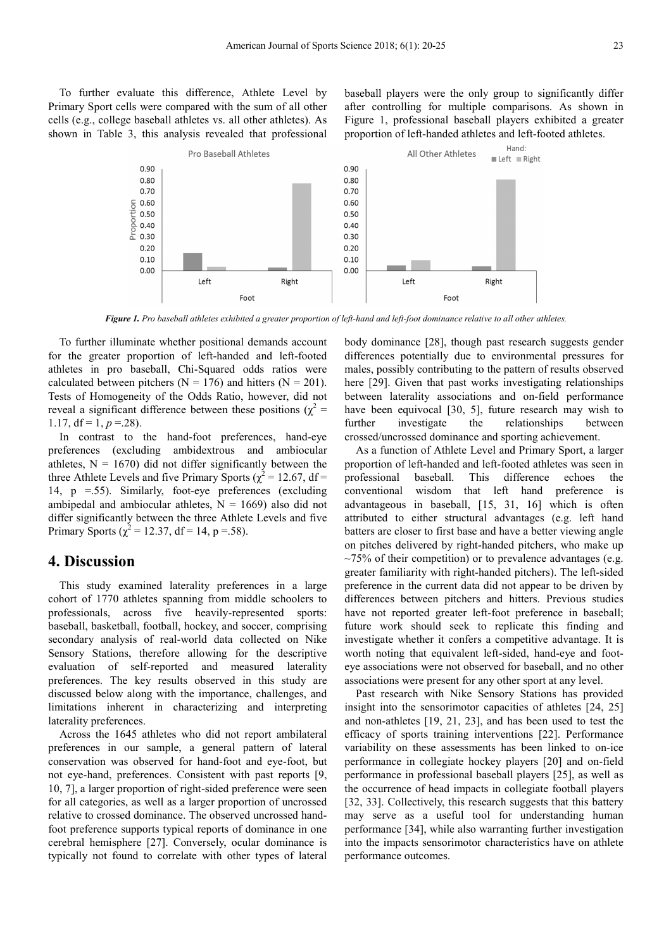To further evaluate this difference, Athlete Level by Primary Sport cells were compared with the sum of all other cells (e.g., college baseball athletes vs. all other athletes). As shown in Table 3, this analysis revealed that professional baseball players were the only group to significantly differ after controlling for multiple comparisons. As shown in Figure 1, professional baseball players exhibited a greater proportion of left-handed athletes and left-footed athletes.



*Figure 1. Pro baseball athletes exhibited a greater proportion of left-hand and left-foot dominance relative to all other athletes.* 

To further illuminate whether positional demands account for the greater proportion of left-handed and left-footed athletes in pro baseball, Chi-Squared odds ratios were calculated between pitchers ( $N = 176$ ) and hitters ( $N = 201$ ). Tests of Homogeneity of the Odds Ratio, however, did not reveal a significant difference between these positions ( $\chi^2$  = 1.17,  $df = 1, p = 28$ ).

In contrast to the hand-foot preferences, hand-eye preferences (excluding ambidextrous and ambiocular athletes,  $N = 1670$ ) did not differ significantly between the three Athlete Levels and five Primary Sports ( $\chi^2$  = 12.67, df = 14,  $p = .55$ ). Similarly, foot-eye preferences (excluding ambipedal and ambiocular athletes,  $N = 1669$ ) also did not differ significantly between the three Athlete Levels and five Primary Sports ( $\chi^2$  = 12.37, df = 14, p = .58).

# **4. Discussion**

This study examined laterality preferences in a large cohort of 1770 athletes spanning from middle schoolers to professionals, across five heavily-represented sports: baseball, basketball, football, hockey, and soccer, comprising secondary analysis of real-world data collected on Nike Sensory Stations, therefore allowing for the descriptive evaluation of self-reported and measured laterality preferences. The key results observed in this study are discussed below along with the importance, challenges, and limitations inherent in characterizing and interpreting laterality preferences.

Across the 1645 athletes who did not report ambilateral preferences in our sample, a general pattern of lateral conservation was observed for hand-foot and eye-foot, but not eye-hand, preferences. Consistent with past reports [9, 10, 7], a larger proportion of right-sided preference were seen for all categories, as well as a larger proportion of uncrossed relative to crossed dominance. The observed uncrossed handfoot preference supports typical reports of dominance in one cerebral hemisphere [27]. Conversely, ocular dominance is typically not found to correlate with other types of lateral

body dominance [28], though past research suggests gender differences potentially due to environmental pressures for males, possibly contributing to the pattern of results observed here [29]. Given that past works investigating relationships between laterality associations and on-field performance have been equivocal [30, 5], future research may wish to further investigate the relationships between crossed/uncrossed dominance and sporting achievement.

As a function of Athlete Level and Primary Sport, a larger proportion of left-handed and left-footed athletes was seen in professional baseball. This difference echoes the conventional wisdom that left hand preference is advantageous in baseball, [15, 31, 16] which is often attributed to either structural advantages (e.g. left hand batters are closer to first base and have a better viewing angle on pitches delivered by right-handed pitchers, who make up  $\sim$ 75% of their competition) or to prevalence advantages (e.g. greater familiarity with right-handed pitchers). The left-sided preference in the current data did not appear to be driven by differences between pitchers and hitters. Previous studies have not reported greater left-foot preference in baseball; future work should seek to replicate this finding and investigate whether it confers a competitive advantage. It is worth noting that equivalent left-sided, hand-eye and footeye associations were not observed for baseball, and no other associations were present for any other sport at any level.

Past research with Nike Sensory Stations has provided insight into the sensorimotor capacities of athletes [24, 25] and non-athletes [19, 21, 23], and has been used to test the efficacy of sports training interventions [22]. Performance variability on these assessments has been linked to on-ice performance in collegiate hockey players [20] and on-field performance in professional baseball players [25], as well as the occurrence of head impacts in collegiate football players [32, 33]. Collectively, this research suggests that this battery may serve as a useful tool for understanding human performance [34], while also warranting further investigation into the impacts sensorimotor characteristics have on athlete performance outcomes.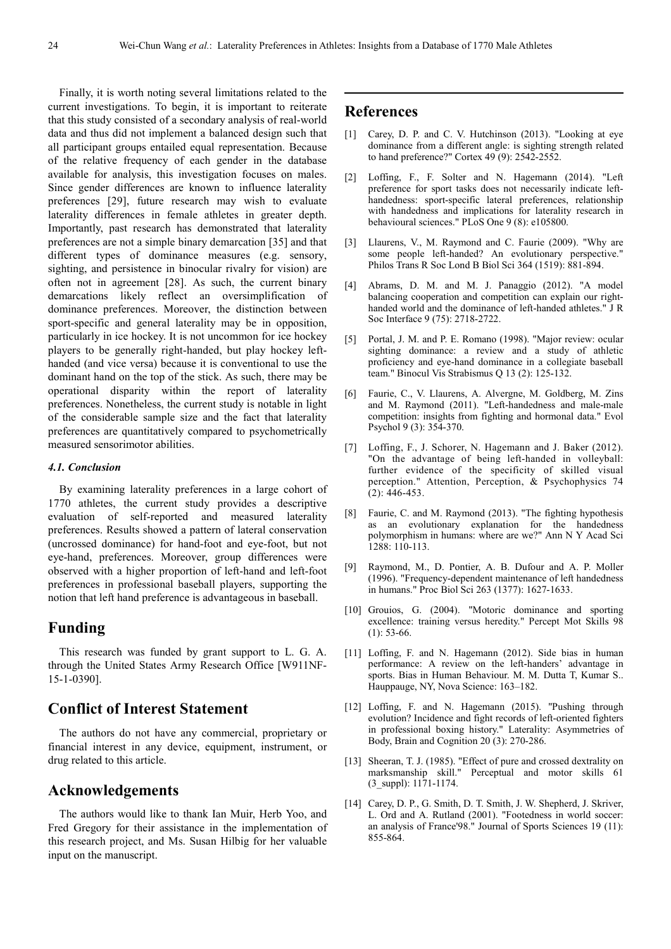Finally, it is worth noting several limitations related to the current investigations. To begin, it is important to reiterate that this study consisted of a secondary analysis of real-world data and thus did not implement a balanced design such that all participant groups entailed equal representation. Because of the relative frequency of each gender in the database available for analysis, this investigation focuses on males. Since gender differences are known to influence laterality preferences [29], future research may wish to evaluate laterality differences in female athletes in greater depth. Importantly, past research has demonstrated that laterality preferences are not a simple binary demarcation [35] and that different types of dominance measures (e.g. sensory, sighting, and persistence in binocular rivalry for vision) are often not in agreement [28]. As such, the current binary demarcations likely reflect an oversimplification of dominance preferences. Moreover, the distinction between sport-specific and general laterality may be in opposition, particularly in ice hockey. It is not uncommon for ice hockey players to be generally right-handed, but play hockey lefthanded (and vice versa) because it is conventional to use the dominant hand on the top of the stick. As such, there may be operational disparity within the report of laterality preferences. Nonetheless, the current study is notable in light of the considerable sample size and the fact that laterality preferences are quantitatively compared to psychometrically measured sensorimotor abilities.

#### *4.1. Conclusion*

By examining laterality preferences in a large cohort of 1770 athletes, the current study provides a descriptive evaluation of self-reported and measured laterality preferences. Results showed a pattern of lateral conservation (uncrossed dominance) for hand-foot and eye-foot, but not eye-hand, preferences. Moreover, group differences were observed with a higher proportion of left-hand and left-foot preferences in professional baseball players, supporting the notion that left hand preference is advantageous in baseball.

# **Funding**

This research was funded by grant support to L. G. A. through the United States Army Research Office [W911NF-15-1-0390].

# **Conflict of Interest Statement**

The authors do not have any commercial, proprietary or financial interest in any device, equipment, instrument, or drug related to this article.

## **Acknowledgements**

The authors would like to thank Ian Muir, Herb Yoo, and Fred Gregory for their assistance in the implementation of this research project, and Ms. Susan Hilbig for her valuable input on the manuscript.

# **References**

- [1] Carey, D. P. and C. V. Hutchinson (2013). "Looking at eye dominance from a different angle: is sighting strength related to hand preference?" Cortex 49 (9): 2542-2552.
- [2] Loffing, F., F. Solter and N. Hagemann (2014). "Left preference for sport tasks does not necessarily indicate lefthandedness: sport-specific lateral preferences, relationship with handedness and implications for laterality research in behavioural sciences." PLoS One 9 (8): e105800.
- [3] Llaurens, V., M. Raymond and C. Faurie (2009). "Why are some people left-handed? An evolutionary perspective." Philos Trans R Soc Lond B Biol Sci 364 (1519): 881-894.
- [4] Abrams, D. M. and M. J. Panaggio (2012). "A model balancing cooperation and competition can explain our righthanded world and the dominance of left-handed athletes." J R Soc Interface 9 (75): 2718-2722.
- [5] Portal, J. M. and P. E. Romano (1998). "Major review: ocular sighting dominance: a review and a study of athletic proficiency and eye-hand dominance in a collegiate baseball team." Binocul Vis Strabismus Q 13 (2): 125-132.
- [6] Faurie, C., V. Llaurens, A. Alvergne, M. Goldberg, M. Zins and M. Raymond (2011). "Left-handedness and male-male competition: insights from fighting and hormonal data." Evol Psychol 9 (3): 354-370.
- [7] Loffing, F., J. Schorer, N. Hagemann and J. Baker (2012). "On the advantage of being left-handed in volleyball: further evidence of the specificity of skilled visual perception." Attention, Perception, & Psychophysics 74  $(2)$ : 446-453.
- [8] Faurie, C. and M. Raymond (2013). "The fighting hypothesis as an evolutionary explanation for the handedness polymorphism in humans: where are we?" Ann N Y Acad Sci 1288: 110-113.
- [9] Raymond, M., D. Pontier, A. B. Dufour and A. P. Moller (1996). "Frequency-dependent maintenance of left handedness in humans." Proc Biol Sci 263 (1377): 1627-1633.
- [10] Grouios, G. (2004). "Motoric dominance and sporting excellence: training versus heredity." Percept Mot Skills 98 (1): 53-66.
- [11] Loffing, F. and N. Hagemann (2012). Side bias in human performance: A review on the left-handers' advantage in sports. Bias in Human Behaviour. M. M. Dutta T, Kumar S.. Hauppauge, NY, Nova Science: 163–182.
- [12] Loffing, F. and N. Hagemann (2015). "Pushing through evolution? Incidence and fight records of left-oriented fighters in professional boxing history." Laterality: Asymmetries of Body, Brain and Cognition 20 (3): 270-286.
- [13] Sheeran, T. J. (1985). "Effect of pure and crossed dextrality on marksmanship skill." Perceptual and motor skills 61 (3\_suppl): 1171-1174.
- [14] Carey, D. P., G. Smith, D. T. Smith, J. W. Shepherd, J. Skriver, L. Ord and A. Rutland (2001). "Footedness in world soccer: an analysis of France'98." Journal of Sports Sciences 19 (11): 855-864.